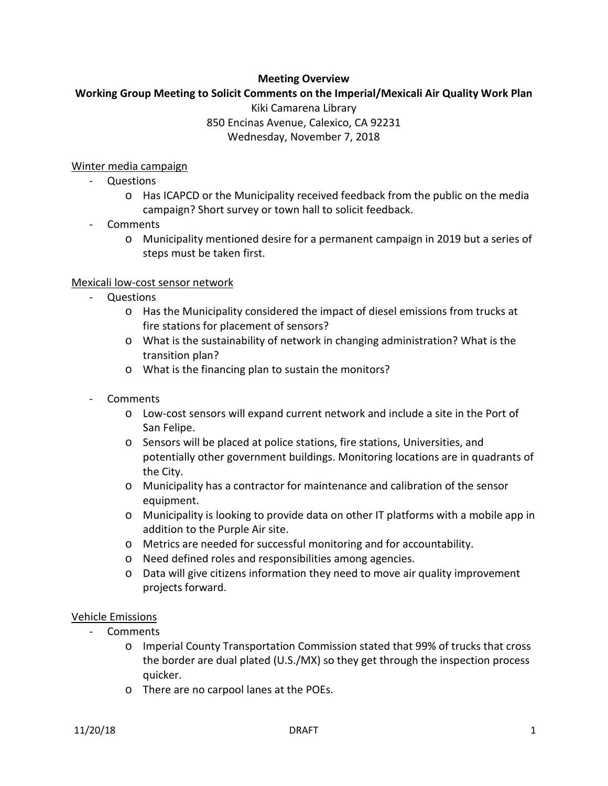#### **Meeting Overview**

# **Working Group Meeting to Solicit Comments on the Imperial/Mexicali Air Quality Work Plan** Kiki Camarena Library

850 Encinas Avenue, Calexico, CA 92231 Wednesday, November 7, 2018

#### Winter media campaign

- Questions
	- o Has ICAPCD or the Municipality received feedback from the public on the media campaign? Short survey or town hall to solicit feedback.
- Comments
	- o Municipality mentioned desire for a permanent campaign in 2019 but a series of steps must be taken first.

#### Mexicali low-cost sensor network

- Questions
	- o Has the Municipality considered the impact of diesel emissions from trucks at fire stations for placement of sensors?
	- o What is the sustainability of network in changing administration? What is the transition plan?
	- o What is the financing plan to sustain the monitors?
- Comments
	- o Low-cost sensors will expand current network and include a site in the Port of San Felipe.
	- o Sensors will be placed at police stations, fire stations, Universities, and potentially other government buildings. Monitoring locations are in quadrants of the City.
	- o Municipality has a contractor for maintenance and calibration of the sensor equipment.
	- o Municipality is looking to provide data on other IT platforms with a mobile app in addition to the Purple Air site.
	- o Metrics are needed for successful monitoring and for accountability.
	- o Need defined roles and responsibilities among agencies.
	- o Data will give citizens information they need to move air quality improvement projects forward.

#### Vehicle Emissions

- Comments
	- o Imperial County Transportation Commission stated that 99% of trucks that cross the border are dual plated (U.S./MX) so they get through the inspection process quicker.
	- o There are no carpool lanes at the POEs.